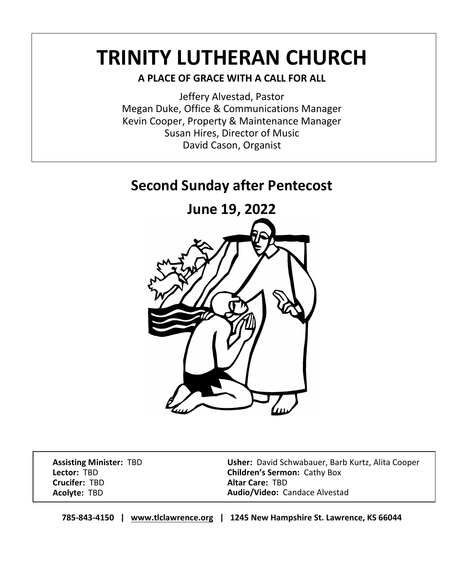# **TRINITY LUTHERAN CHURCH**

# **A PLACE OF GRACE WITH A CALL FOR ALL**

Jeffery Alvestad, Pastor Megan Duke, Office & Communications Manager Kevin Cooper, Property & Maintenance Manager Susan Hires, Director of Music David Cason, Organist

# **Second Sunday after Pentecost**



 **Assisting Minister:** TBD  **Lector:** TBD  **Crucifer:** TBD  **Acolyte:** TBD

 **Usher:** David Schwabauer, Barb Kurtz, Alita Cooper  **Children's Sermon:** Cathy Box  **Altar Care:** TBD  **Audio/Video:** Candace Alvestad

**785-843-4150 | [www.tlclawrence.org](http://www.tlclawrence.org/) | 1245 New Hampshire St. Lawrence, KS 66044**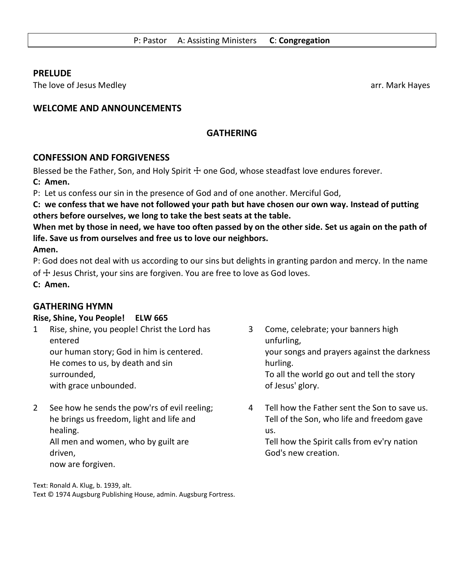#### **PRELUDE**

The love of Jesus Medley and the state of the state of the state of the state of the state of the state of the state of the state of the state of the state of the state of the state of the state of the state of the state o

# **WELCOME AND ANNOUNCEMENTS**

# **GATHERING**

# **CONFESSION AND FORGIVENESS**

Blessed be the Father, Son, and Holy Spirit  $\pm$  one God, whose steadfast love endures forever.

**C: Amen.**

P: Let us confess our sin in the presence of God and of one another. Merciful God,

**C: we confess that we have not followed your path but have chosen our own way. Instead of putting others before ourselves, we long to take the best seats at the table.**

**When met by those in need, we have too often passed by on the other side. Set us again on the path of life. Save us from ourselves and free us to love our neighbors. Amen.**

P: God does not deal with us according to our sins but delights in granting pardon and mercy. In the name of  $\ddot{+}$  Jesus Christ, your sins are forgiven. You are free to love as God loves.

**C: Amen.**

# **GATHERING HYMN**

#### **Rise, Shine, You People! ELW 665**

- 1 Rise, shine, you people! Christ the Lord has entered our human story; God in him is centered. He comes to us, by death and sin surrounded, with grace unbounded.
- 2 See how he sends the pow'rs of evil reeling; he brings us freedom, light and life and healing. All men and women, who by guilt are driven, now are forgiven.
- 3 Come, celebrate; your banners high unfurling, your songs and prayers against the darkness hurling. To all the world go out and tell the story of Jesus' glory.
- 4 Tell how the Father sent the Son to save us. Tell of the Son, who life and freedom gave us.

Tell how the Spirit calls from ev'ry nation God's new creation.

Text: Ronald A. Klug, b. 1939, alt. Text © 1974 Augsburg Publishing House, admin. Augsburg Fortress.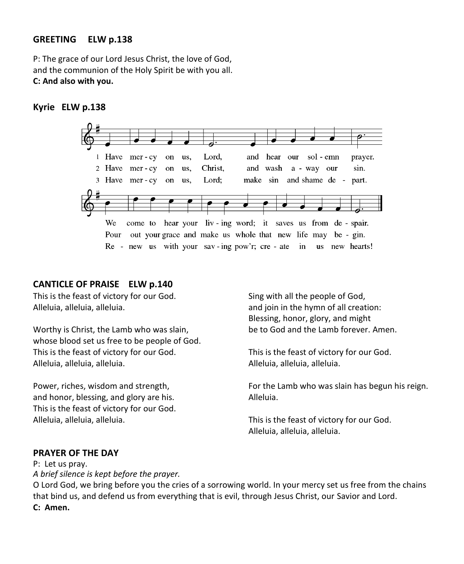#### **GREETING ELW p.138**

P: The grace of our Lord Jesus Christ, the love of God, and the communion of the Holy Spirit be with you all. **C: And also with you.**

#### **Kyrie ELW p.138**



#### **CANTICLE OF PRAISE ELW p.140**

This is the feast of victory for our God. Alleluia, alleluia, alleluia.

Worthy is Christ, the Lamb who was slain, whose blood set us free to be people of God. This is the feast of victory for our God. Alleluia, alleluia, alleluia.

Power, riches, wisdom and strength, and honor, blessing, and glory are his. This is the feast of victory for our God. Alleluia, alleluia, alleluia.

Sing with all the people of God, and join in the hymn of all creation: Blessing, honor, glory, and might be to God and the Lamb forever. Amen.

This is the feast of victory for our God. Alleluia, alleluia, alleluia.

For the Lamb who was slain has begun his reign. Alleluia.

This is the feast of victory for our God. Alleluia, alleluia, alleluia.

#### **PRAYER OF THE DAY**

P: Let us pray. *A brief silence is kept before the prayer.*

O Lord God, we bring before you the cries of a sorrowing world. In your mercy set us free from the chains that bind us, and defend us from everything that is evil, through Jesus Christ, our Savior and Lord. **C: Amen.**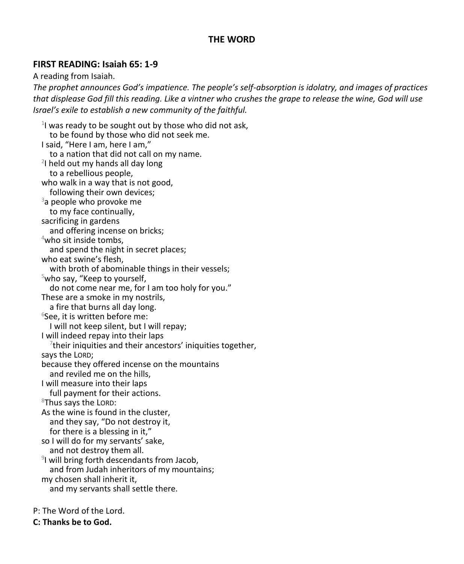# **THE WORD**

# **FIRST READING: Isaiah 65: 1-9**

A reading from Isaiah.

*The prophet announces God's impatience. The people's self-absorption is idolatry, and images of practices that displease God fill this reading. Like a vintner who crushes the grape to release the wine, God will use Israel's exile to establish a new community of the faithful.*

 $1$  was ready to be sought out by those who did not ask, to be found by those who did not seek me. I said, "Here I am, here I am," to a nation that did not call on my name. <sup>2</sup>I held out my hands all day long to a rebellious people, who walk in a way that is not good, following their own devices;  $3a$  people who provoke me to my face continually, sacrificing in gardens and offering incense on bricks; <sup>4</sup>who sit inside tombs, and spend the night in secret places; who eat swine's flesh, with broth of abominable things in their vessels; <sup>5</sup>who say, "Keep to yourself, do not come near me, for I am too holy for you." These are a smoke in my nostrils, a fire that burns all day long. 6 See, it is written before me: I will not keep silent, but I will repay; I will indeed repay into their laps  $7$ their iniquities and their ancestors' iniquities together, says the LORD; because they offered incense on the mountains and reviled me on the hills, I will measure into their laps full payment for their actions.  $8$ Thus says the LORD: As the wine is found in the cluster, and they say, "Do not destroy it, for there is a blessing in it," so I will do for my servants' sake, and not destroy them all. 9 I will bring forth descendants from Jacob, and from Judah inheritors of my mountains; my chosen shall inherit it, and my servants shall settle there.

P: The Word of the Lord.

**C: Thanks be to God.**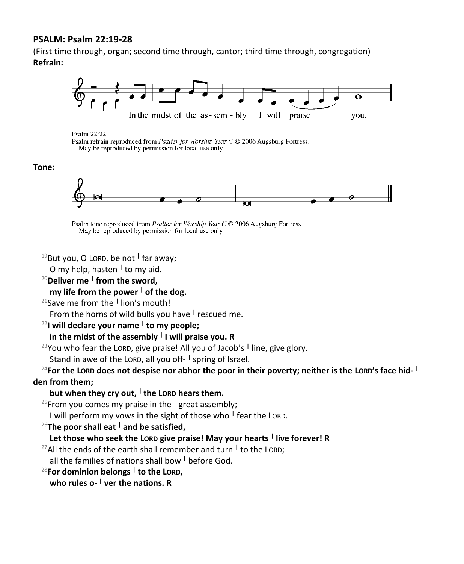#### **PSALM: Psalm 22:19-28**

(First time through, organ; second time through, cantor; third time through, congregation) **Refrain:**



Psalm 22:22

Psalm refrain reproduced from Psalter for Worship Year C © 2006 Augsburg Fortress. May be reproduced by permission for local use only.

#### **Tone:**



Psalm tone reproduced from *Psalter for Worship Year C* © 2006 Augsburg Fortress. May be reproduced by permission for local use only.

<sup>19</sup>But you, O LORD, be not **<sup>|</sup>** far away;

O my help, hasten **<sup>|</sup>** to my aid.

<sup>20</sup>**Deliver me <sup>|</sup> from the sword,**

**my life from the power <sup>|</sup> of the dog.**

<sup>21</sup>Save me from the **<sup>|</sup>** lion's mouth!

From the horns of wild bulls you have **<sup>|</sup>** rescued me.

#### <sup>22</sup>**I will declare your name <sup>|</sup> to my people;**

#### **in the midst of the assembly <sup>|</sup> I will praise you. R**

<sup>23</sup>You who fear the LORD, give praise! All you of Jacob's **<sup>|</sup>** line, give glory.

Stand in awe of the LORD, all you off- **|** spring of Israel.

<sup>24</sup>**For the LORD does not despise nor abhor the poor in their poverty; neither is the LORD's face hid- | den from them;**

#### **but when they cry out, <sup>|</sup> the LORD hears them.**

<sup>25</sup>From you comes my praise in the **<sup>|</sup>** great assembly;

I will perform my vows in the sight of those who **<sup>|</sup>** fear the LORD.

<sup>26</sup>**The poor shall eat <sup>|</sup> and be satisfied,**

#### **Let those who seek the LORD give praise! May your hearts <sup>|</sup> live forever! R**

<sup>27</sup>All the ends of the earth shall remember and turn **<sup>|</sup>** to the LORD;

all the families of nations shall bow **<sup>|</sup>** before God.

<sup>28</sup>**For dominion belongs <sup>|</sup> to the LORD,**

**who rules o- <sup>|</sup> ver the nations. R**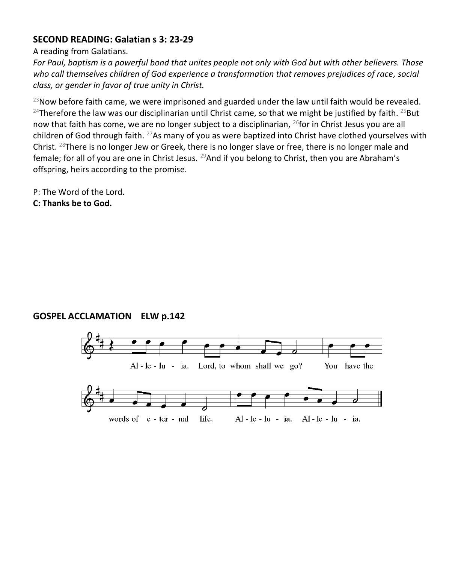# **SECOND READING: Galatian s 3: 23-29**

A reading from Galatians.

*For Paul, baptism is a powerful bond that unites people not only with God but with other believers. Those who call themselves children of God experience a transformation that removes prejudices of race, social class, or gender in favor of true unity in Christ.*

 $^{23}$ Now before faith came, we were imprisoned and guarded under the law until faith would be revealed. <sup>24</sup>Therefore the law was our disciplinarian until Christ came, so that we might be justified by faith. <sup>25</sup>But now that faith has come, we are no longer subject to a disciplinarian,  $^{26}$  for in Christ Jesus you are all children of God through faith. <sup>27</sup>As many of you as were baptized into Christ have clothed yourselves with Christ.  $^{28}$ There is no longer Jew or Greek, there is no longer slave or free, there is no longer male and female; for all of you are one in Christ Jesus. <sup>29</sup>And if you belong to Christ, then you are Abraham's offspring, heirs according to the promise.

P: The Word of the Lord. **C: Thanks be to God.**

# **GOSPEL ACCLAMATION ELW p.142**

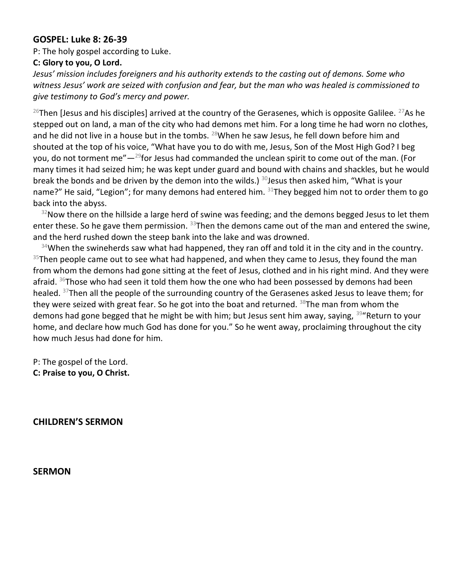#### **GOSPEL: Luke 8: 26-39**

P: The holy gospel according to Luke.

#### **C: Glory to you, O Lord.**

*Jesus' mission includes foreigners and his authority extends to the casting out of demons. Some who witness Jesus' work are seized with confusion and fear, but the man who was healed is commissioned to give testimony to God's mercy and power.*

<sup>26</sup>Then [Jesus and his disciples] arrived at the country of the Gerasenes, which is opposite Galilee. <sup>27</sup>As he stepped out on land, a man of the city who had demons met him. For a long time he had worn no clothes, and he did not live in a house but in the tombs.  $^{28}$ When he saw Jesus, he fell down before him and shouted at the top of his voice, "What have you to do with me, Jesus, Son of the Most High God? I beg you, do not torment me" $-29$  for Jesus had commanded the unclean spirit to come out of the man. (For many times it had seized him; he was kept under guard and bound with chains and shackles, but he would break the bonds and be driven by the demon into the wilds.) <sup>30</sup>Jesus then asked him, "What is your name?" He said, "Legion"; for many demons had entered him.  $31$ They begged him not to order them to go back into the abyss.

 $32$ Now there on the hillside a large herd of swine was feeding; and the demons begged Jesus to let them enter these. So he gave them permission.  $33$ Then the demons came out of the man and entered the swine, and the herd rushed down the steep bank into the lake and was drowned.

 $34$ When the swineherds saw what had happened, they ran off and told it in the city and in the country.  $35$ Then people came out to see what had happened, and when they came to Jesus, they found the man from whom the demons had gone sitting at the feet of Jesus, clothed and in his right mind. And they were afraid.  $36$ Those who had seen it told them how the one who had been possessed by demons had been healed. <sup>37</sup>Then all the people of the surrounding country of the Gerasenes asked Jesus to leave them; for they were seized with great fear. So he got into the boat and returned.  $38$ The man from whom the demons had gone begged that he might be with him; but Jesus sent him away, saying,  $39^{\circ}$ Return to your home, and declare how much God has done for you." So he went away, proclaiming throughout the city how much Jesus had done for him.

P: The gospel of the Lord. **C: Praise to you, O Christ.** 

**CHILDREN'S SERMON** 

**SERMON**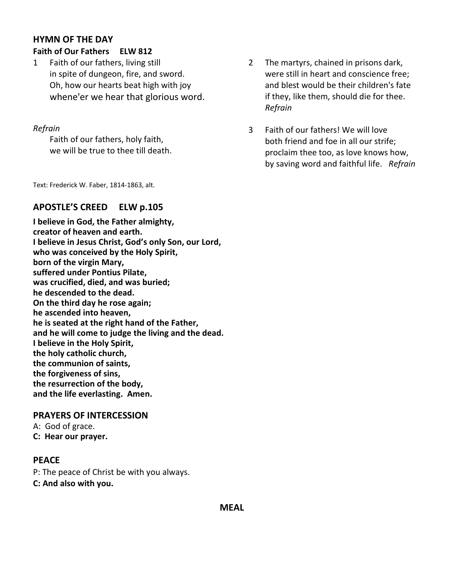# **HYMN OF THE DAY Faith of Our Fathers ELW 812**

1 Faith of our fathers, living still in spite of dungeon, fire, and sword. Oh, how our hearts beat high with joy whene'er we hear that glorious word.

#### *Refrain*

Faith of our fathers, holy faith, we will be true to thee till death.

Text: Frederick W. Faber, 1814-1863, alt.

# **APOSTLE'S CREED ELW p.105**

**I believe in God, the Father almighty, creator of heaven and earth. I believe in Jesus Christ, God's only Son, our Lord, who was conceived by the Holy Spirit, born of the virgin Mary, suffered under Pontius Pilate, was crucified, died, and was buried; he descended to the dead. On the third day he rose again; he ascended into heaven, he is seated at the right hand of the Father, and he will come to judge the living and the dead. I believe in the Holy Spirit, the holy catholic church, the communion of saints, the forgiveness of sins, the resurrection of the body, and the life everlasting. Amen.**

#### **PRAYERS OF INTERCESSION**

A: God of grace. **C: Hear our prayer.**

# **PEACE**

P: The peace of Christ be with you always.

**C: And also with you.**

- 2 The martyrs, chained in prisons dark, were still in heart and conscience free; and blest would be their children's fate if they, like them, should die for thee. *Refrain*
- 3 Faith of our fathers! We will love both friend and foe in all our strife; proclaim thee too, as love knows how, by saving word and faithful life. *Refrain*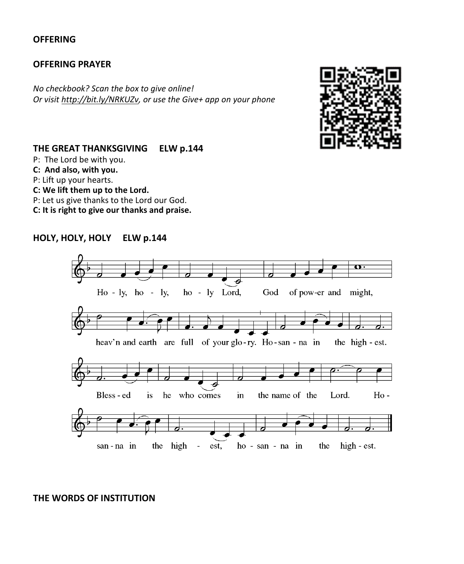#### **OFFERING**

#### **OFFERING PRAYER**

*No checkbook? Scan the box to give online! Or visit [http://bit.ly/NRKUZv,](http://bit.ly/NRKUZv) or use the Give+ app on your phone*



# **THE GREAT THANKSGIVING ELW p.144**

- P: The Lord be with you.
- **C: And also, with you.**
- P: Lift up your hearts.
- **C: We lift them up to the Lord.**
- P: Let us give thanks to the Lord our God.
- **C: It is right to give our thanks and praise.**

# **HOLY, HOLY, HOLY ELW p.144**



#### **THE WORDS OF INSTITUTION**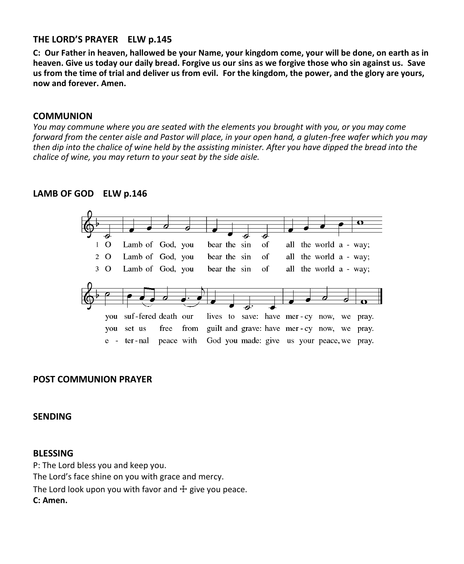# **THE LORD'S PRAYER ELW p.145**

**C: Our Father in heaven, hallowed be your Name, your kingdom come, your will be done, on earth as in heaven. Give us today our daily bread. Forgive us our sins as we forgive those who sin against us. Save us from the time of trial and deliver us from evil. For the kingdom, the power, and the glory are yours, now and forever. Amen.**

#### **COMMUNION**

*You may commune where you are seated with the elements you brought with you, or you may come forward from the center aisle and Pastor will place, in your open hand, a gluten-free wafer which you may then dip into the chalice of wine held by the assisting minister. After you have dipped the bread into the chalice of wine, you may return to your seat by the side aisle.*

#### **LAMB OF GOD ELW p.146**



#### **POST COMMUNION PRAYER**

**SENDING**

#### **BLESSING**

P: The Lord bless you and keep you. The Lord's face shine on you with grace and mercy. The Lord look upon you with favor and  $\pm$  give you peace. **C: Amen.**